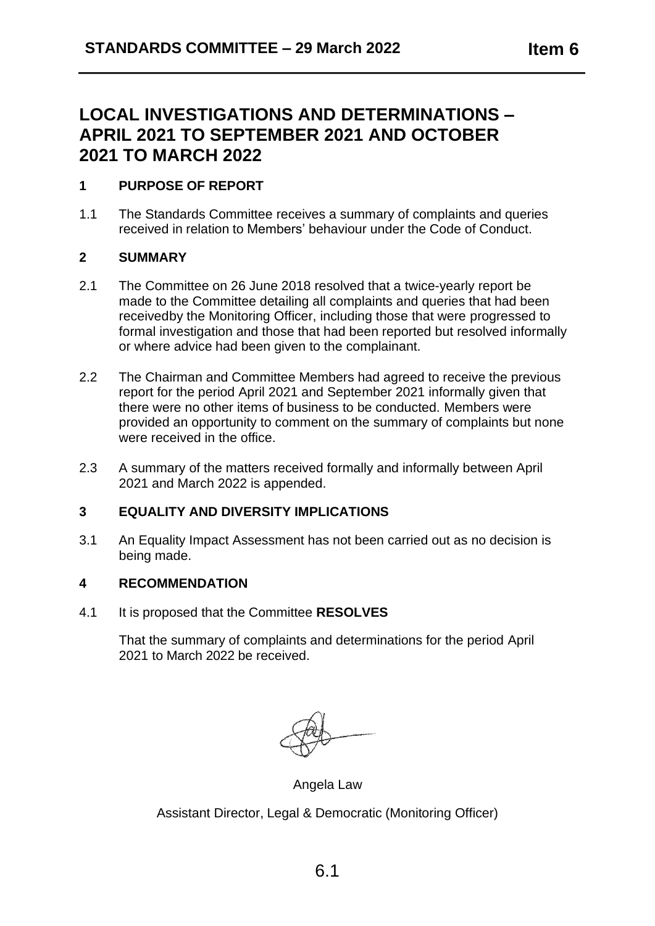### **LOCAL INVESTIGATIONS AND DETERMINATIONS – APRIL 2021 TO SEPTEMBER 2021 AND OCTOBER 2021 TO MARCH 2022**

### **1 PURPOSE OF REPORT**

1.1 The Standards Committee receives a summary of complaints and queries received in relation to Members' behaviour under the Code of Conduct.

#### **2 SUMMARY**

**2021**

- 2.1 The Committee on 26 June 2018 resolved that a twice-yearly report be made to the Committee detailing all complaints and queries that had been receivedby the Monitoring Officer, including those that were progressed to formal investigation and those that had been reported but resolved informally or where advice had been given to the complainant.
- 2.2 The Chairman and Committee Members had agreed to receive the previous report for the period April 2021 and September 2021 informally given that there were no other items of business to be conducted. Members were provided an opportunity to comment on the summary of complaints but none were received in the office.
- 2.3 A summary of the matters received formally and informally between April 2021 and March 2022 is appended.

#### **3 EQUALITY AND DIVERSITY IMPLICATIONS**

3.1 An Equality Impact Assessment has not been carried out as no decision is being made.

#### **4 RECOMMENDATION**

4.1 It is proposed that the Committee **RESOLVES**

That the summary of complaints and determinations for the period April 2021 to March 2022 be received.

Angela Law

Assistant Director, Legal & Democratic (Monitoring Officer)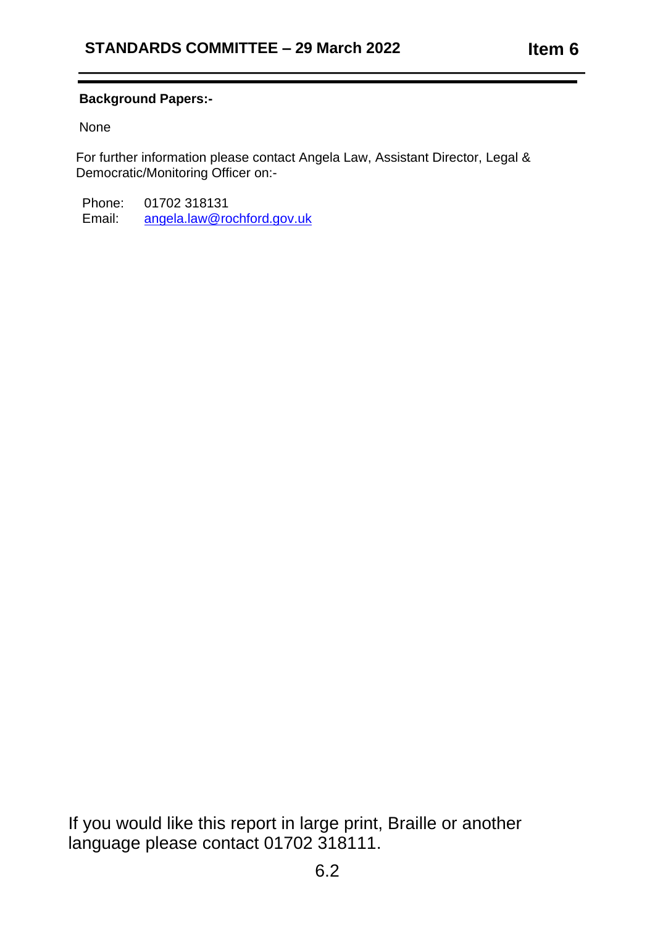### **Background Papers:-**

None

**2021**

For further information please contact Angela Law, Assistant Director, Legal & Democratic/Monitoring Officer on:-

Phone: 01702 318131<br>Email: angela.law@rd [angela.law@rochford.gov.uk](mailto:angela.law@rochford.gov.uk)

If you would like this report in large print, Braille or another language please contact 01702 318111.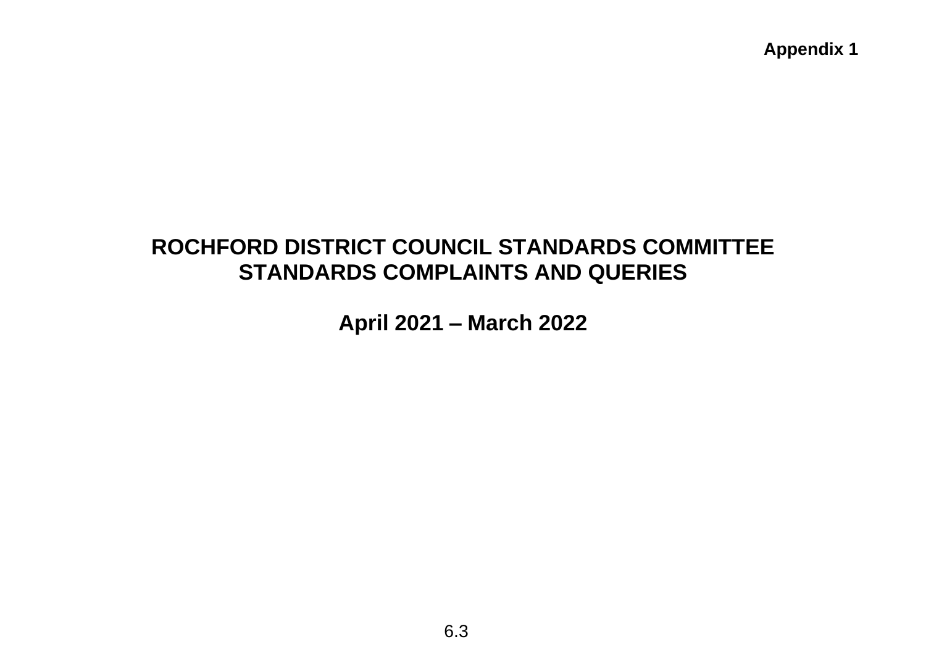# **ROCHFORD DISTRICT COUNCIL STANDARDS COMMITTEE STANDARDS COMPLAINTS AND QUERIES**

**April 2021 – March 2022**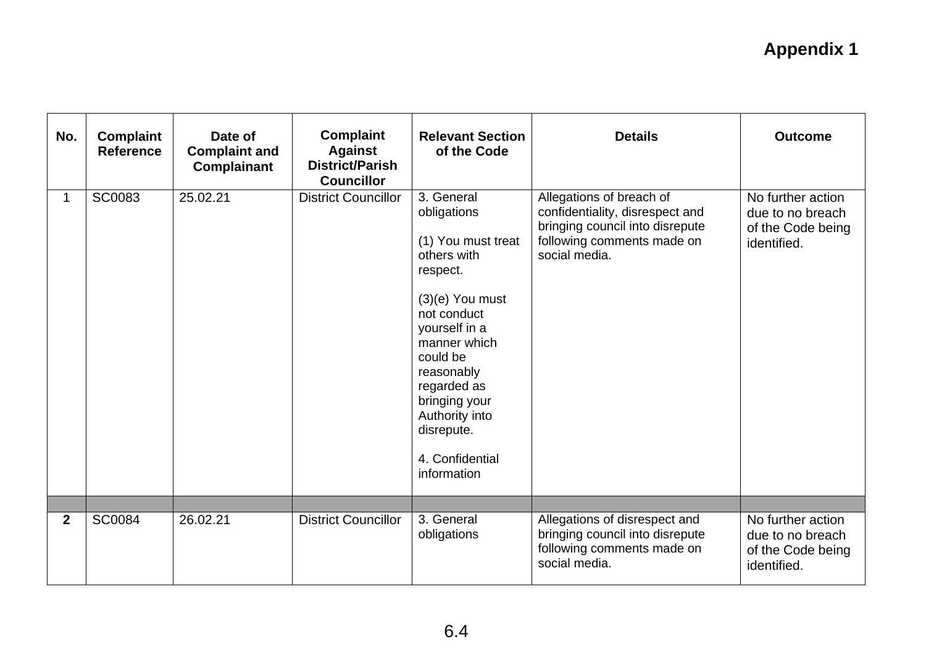| No.          | <b>Complaint</b><br><b>Reference</b> | Date of<br><b>Complaint and</b><br><b>Complainant</b> | <b>Complaint</b><br><b>Against</b><br><b>District/Parish</b><br><b>Councillor</b> | <b>Relevant Section</b><br>of the Code                                                                                                                                                                                                                                      | <b>Details</b>                                                                                                                                | <b>Outcome</b>                                                            |
|--------------|--------------------------------------|-------------------------------------------------------|-----------------------------------------------------------------------------------|-----------------------------------------------------------------------------------------------------------------------------------------------------------------------------------------------------------------------------------------------------------------------------|-----------------------------------------------------------------------------------------------------------------------------------------------|---------------------------------------------------------------------------|
|              | <b>SC0083</b>                        | 25.02.21                                              | <b>District Councillor</b>                                                        | 3. General<br>obligations<br>(1) You must treat<br>others with<br>respect.<br>$(3)(e)$ You must<br>not conduct<br>yourself in a<br>manner which<br>could be<br>reasonably<br>regarded as<br>bringing your<br>Authority into<br>disrepute.<br>4. Confidential<br>information | Allegations of breach of<br>confidentiality, disrespect and<br>bringing council into disrepute<br>following comments made on<br>social media. | No further action<br>due to no breach<br>of the Code being<br>identified. |
| $\mathbf{2}$ | <b>SC0084</b>                        | 26.02.21                                              | <b>District Councillor</b>                                                        | 3. General<br>obligations                                                                                                                                                                                                                                                   | Allegations of disrespect and<br>bringing council into disrepute                                                                              | No further action<br>due to no breach                                     |
|              |                                      |                                                       |                                                                                   |                                                                                                                                                                                                                                                                             | following comments made on<br>social media.                                                                                                   | of the Code being<br>identified.                                          |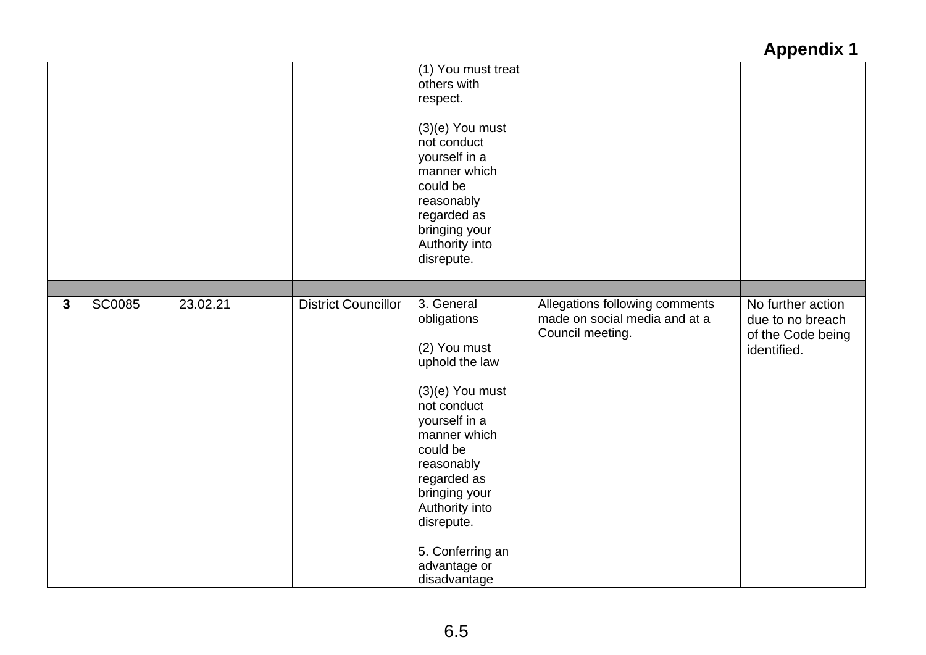|              |               |          |                            | (1) You must treat<br>others with<br>respect.<br>$(3)(e)$ You must<br>not conduct<br>yourself in a<br>manner which<br>could be<br>reasonably<br>regarded as<br>bringing your<br>Authority into<br>disrepute.                                                                   |                                                                                     |                                                                           |
|--------------|---------------|----------|----------------------------|--------------------------------------------------------------------------------------------------------------------------------------------------------------------------------------------------------------------------------------------------------------------------------|-------------------------------------------------------------------------------------|---------------------------------------------------------------------------|
|              |               |          |                            |                                                                                                                                                                                                                                                                                |                                                                                     |                                                                           |
| $\mathbf{3}$ | <b>SC0085</b> | 23.02.21 | <b>District Councillor</b> | 3. General<br>obligations<br>(2) You must<br>uphold the law<br>$(3)(e)$ You must<br>not conduct<br>yourself in a<br>manner which<br>could be<br>reasonably<br>regarded as<br>bringing your<br>Authority into<br>disrepute.<br>5. Conferring an<br>advantage or<br>disadvantage | Allegations following comments<br>made on social media and at a<br>Council meeting. | No further action<br>due to no breach<br>of the Code being<br>identified. |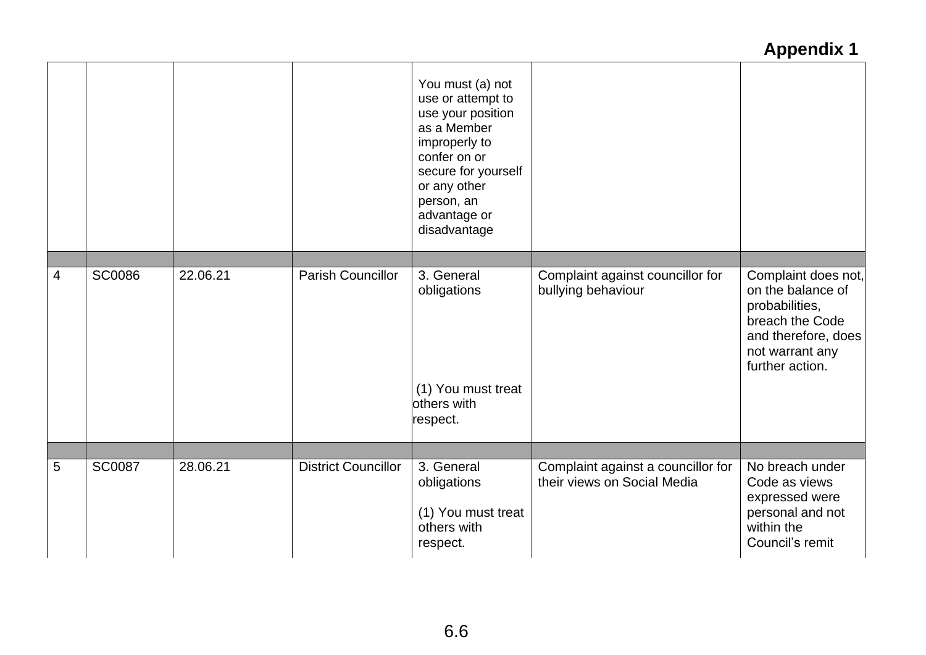|   |               |          |                            | You must (a) not<br>use or attempt to<br>use your position<br>as a Member<br>improperly to<br>confer on or<br>secure for yourself<br>or any other<br>person, an<br>advantage or<br>disadvantage |                                                                   |                                                                                                                                            |
|---|---------------|----------|----------------------------|-------------------------------------------------------------------------------------------------------------------------------------------------------------------------------------------------|-------------------------------------------------------------------|--------------------------------------------------------------------------------------------------------------------------------------------|
|   |               |          |                            |                                                                                                                                                                                                 |                                                                   |                                                                                                                                            |
| 4 | <b>SC0086</b> | 22.06.21 | <b>Parish Councillor</b>   | 3. General<br>obligations<br>(1) You must treat<br>others with<br>respect.                                                                                                                      | Complaint against councillor for<br>bullying behaviour            | Complaint does not,<br>on the balance of<br>probabilities,<br>breach the Code<br>and therefore, does<br>not warrant any<br>further action. |
|   |               |          |                            |                                                                                                                                                                                                 |                                                                   |                                                                                                                                            |
| 5 | <b>SC0087</b> | 28.06.21 | <b>District Councillor</b> | 3. General<br>obligations<br>(1) You must treat<br>others with<br>respect.                                                                                                                      | Complaint against a councillor for<br>their views on Social Media | No breach under<br>Code as views<br>expressed were<br>personal and not<br>within the<br>Council's remit                                    |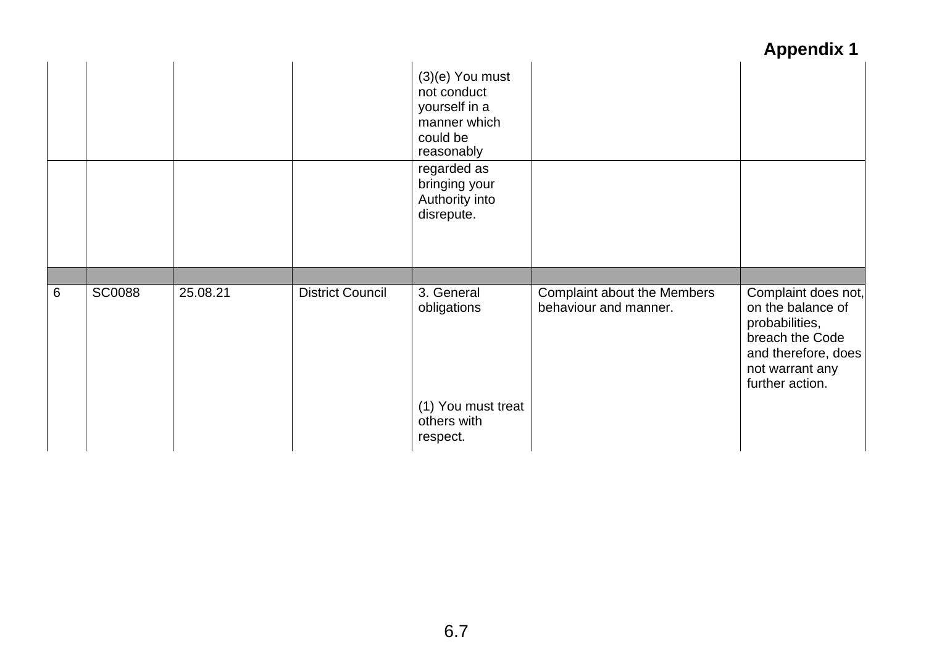|   |               |          |                         | $(3)(e)$ You must<br>not conduct<br>yourself in a<br>manner which<br>could be<br>reasonably |                                                      |                                                                                                                                            |
|---|---------------|----------|-------------------------|---------------------------------------------------------------------------------------------|------------------------------------------------------|--------------------------------------------------------------------------------------------------------------------------------------------|
|   |               |          |                         | regarded as<br>bringing your<br>Authority into<br>disrepute.                                |                                                      |                                                                                                                                            |
|   |               |          |                         |                                                                                             |                                                      |                                                                                                                                            |
| 6 | <b>SC0088</b> | 25.08.21 | <b>District Council</b> | 3. General<br>obligations                                                                   | Complaint about the Members<br>behaviour and manner. | Complaint does not,<br>on the balance of<br>probabilities,<br>breach the Code<br>and therefore, does<br>not warrant any<br>further action. |
|   |               |          |                         | (1) You must treat<br>others with<br>respect.                                               |                                                      |                                                                                                                                            |